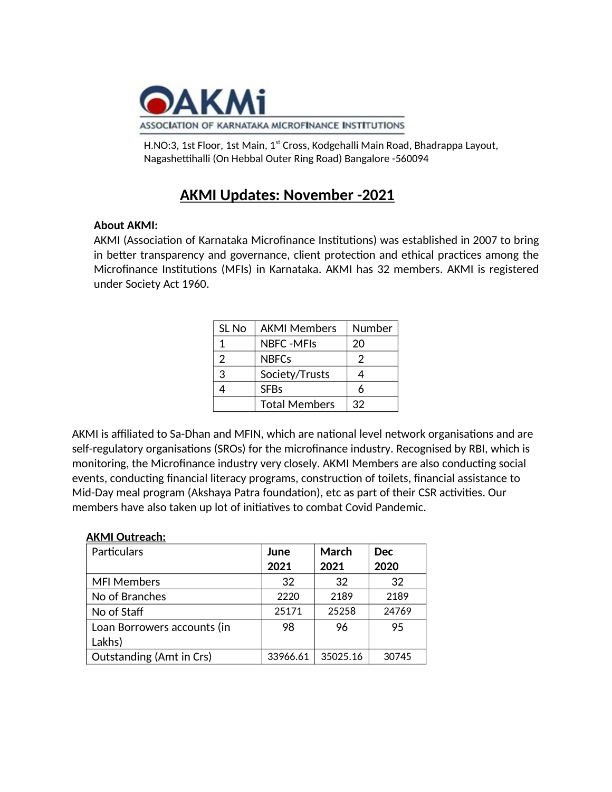

H.NO:3, 1st Floor, 1st Main, 1<sup>st</sup> Cross, Kodgehalli Main Road, Bhadrappa Layout, Nagashettihalli (On Hebbal Outer Ring Road) Bangalore -560094

# **AKMI Updates: November -2021**

### **About AKMI:**

AKMI (Association of Karnataka Microfinance Institutions) was established in 2007 to bring in better transparency and governance, client protection and ethical practices among the Microfinance Institutions (MFIs) in Karnataka. AKMI has 32 members. AKMI is registered under Society Act 1960.

| SL No | <b>AKMI Members</b>  | Number |
|-------|----------------------|--------|
| 1     | NBFC -MFIs           | 20     |
| 2     | <b>NBFCs</b>         | 2      |
| 3     | Society/Trusts       |        |
|       | <b>SFBs</b>          |        |
|       | <b>Total Members</b> | 32     |

AKMI is affiliated to Sa-Dhan and MFIN, which are national level network organisations and are self-regulatory organisations (SROs) for the microfinance industry. Recognised by RBI, which is monitoring, the Microfinance industry very closely. AKMI Members are also conducting social events, conducting financial literacy programs, construction of toilets, financial assistance to Mid-Day meal program (Akshaya Patra foundation), etc as part of their CSR activities. Our members have also taken up lot of initiatives to combat Covid Pandemic.

| <b>AKMI Outreach:</b>           |          |          |            |
|---------------------------------|----------|----------|------------|
| Particulars                     | June     | March    | <b>Dec</b> |
|                                 | 2021     | 2021     | 2020       |
| <b>MFI Members</b>              | 32       | 32       | 32         |
| No of Branches                  | 2220     | 2189     | 2189       |
| No of Staff                     | 25171    | 25258    | 24769      |
| Loan Borrowers accounts (in     | 98       | 96       | 95         |
| Lakhs)                          |          |          |            |
| <b>Outstanding (Amt in Crs)</b> | 33966.61 | 35025.16 | 30745      |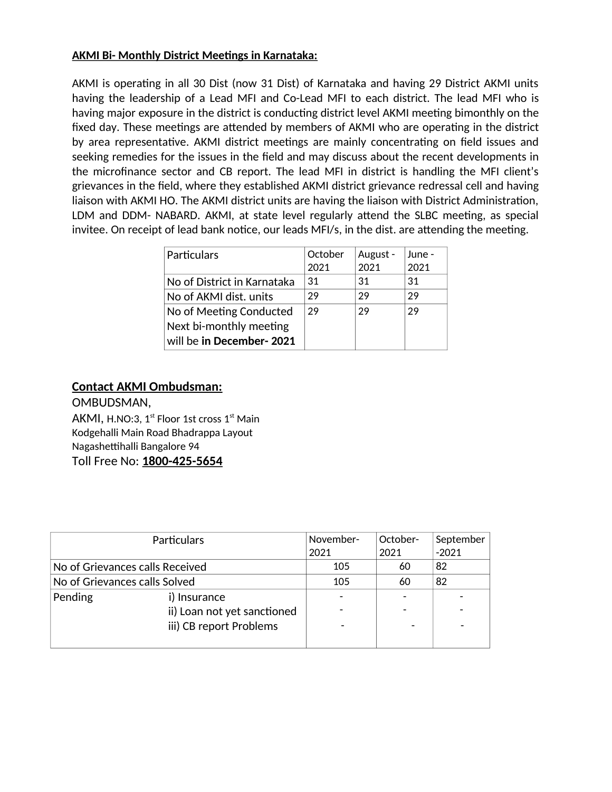### **AKMI Bi- Monthly District Meetings in Karnataka:**

AKMI is operating in all 30 Dist (now 31 Dist) of Karnataka and having 29 District AKMI units having the leadership of a Lead MFI and Co-Lead MFI to each district. The lead MFI who is having major exposure in the district is conducting district level AKMI meeting bimonthly on the fixed day. These meetings are attended by members of AKMI who are operating in the district by area representative. AKMI district meetings are mainly concentrating on field issues and seeking remedies for the issues in the field and may discuss about the recent developments in the microfinance sector and CB report. The lead MFI in district is handling the MFI client's grievances in the field, where they established AKMI district grievance redressal cell and having liaison with AKMI HO. The AKMI district units are having the liaison with District Administration, LDM and DDM-NABARD. AKMI, at state level regularly attend the SLBC meeting, as special invitee. On receipt of lead bank notice, our leads MFI/s, in the dist. are attending the meeting.

| Particulars                 | October | August - | June - |
|-----------------------------|---------|----------|--------|
|                             | 2021    | 2021     | 2021   |
| No of District in Karnataka | 31      | -31      | 31     |
| No of AKMI dist. units      | 29      | 29       | 29     |
| No of Meeting Conducted     | 29      | 29       | 29     |
| Next bi-monthly meeting     |         |          |        |
| will be in December-2021    |         |          |        |

## **Contact AKMI Ombudsman:**

OMBUDSMAN,

AKMI, H.NO:3, 1<sup>st</sup> Floor 1st cross 1<sup>st</sup> Main Kodgehalli Main Road Bhadrappa Layout Nagashettihalli Bangalore 94 Toll Free No: 1800-425-5654

| <b>Particulars</b>              |                             | November- | October- | September |
|---------------------------------|-----------------------------|-----------|----------|-----------|
|                                 |                             | 2021      | 2021     | $-2021$   |
| No of Grievances calls Received |                             | 105       | 60       | 82        |
| No of Grievances calls Solved   |                             | 105       | 60       | 82        |
| Pending                         | i) Insurance                |           |          |           |
|                                 | ii) Loan not yet sanctioned |           |          |           |
|                                 | iii) CB report Problems     |           |          |           |
|                                 |                             |           |          |           |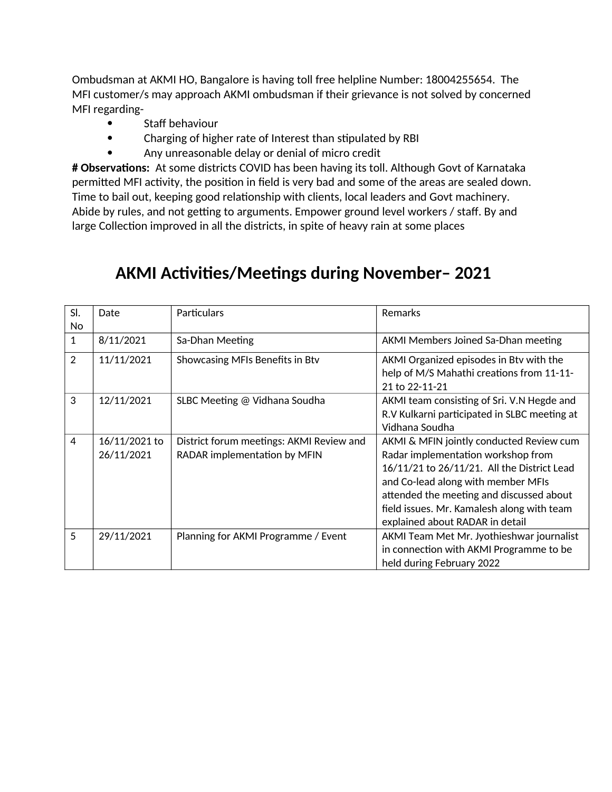Ombudsman at AKMI HO, Bangalore is having toll free helpline Number: 18004255654. The MFI customer/s may approach AKMI ombudsman if their grievance is not solved by concerned MFI regarding-

- $\bullet$ Staff behaviour
- Charging of higher rate of Interest than stipulated by RBI  $\bullet$
- Any unreasonable delay or denial of micro credit  $\bullet$

# Observations: At some districts COVID has been having its toll. Although Govt of Karnataka permitted MFI activity, the position in field is very bad and some of the areas are sealed down. Time to bail out, keeping good relationship with clients, local leaders and Govt machinery. Abide by rules, and not getting to arguments. Empower ground level workers / staff. By and large Collection improved in all the districts, in spite of heavy rain at some places

| SI.<br>No      | Date                        | Particulars                                                              | Remarks                                                                                                                                                                                                                                                                                          |
|----------------|-----------------------------|--------------------------------------------------------------------------|--------------------------------------------------------------------------------------------------------------------------------------------------------------------------------------------------------------------------------------------------------------------------------------------------|
| $\mathbf{1}$   | 8/11/2021                   | Sa-Dhan Meeting                                                          | AKMI Members Joined Sa-Dhan meeting                                                                                                                                                                                                                                                              |
| $\overline{2}$ | 11/11/2021                  | Showcasing MFIs Benefits in Btv                                          | AKMI Organized episodes in Btv with the<br>help of M/S Mahathi creations from 11-11-<br>21 to 22-11-21                                                                                                                                                                                           |
| 3              | 12/11/2021                  | SLBC Meeting @ Vidhana Soudha                                            | AKMI team consisting of Sri. V.N Hegde and<br>R.V Kulkarni participated in SLBC meeting at<br>Vidhana Soudha                                                                                                                                                                                     |
| 4              | 16/11/2021 to<br>26/11/2021 | District forum meetings: AKMI Review and<br>RADAR implementation by MFIN | AKMI & MFIN jointly conducted Review cum<br>Radar implementation workshop from<br>16/11/21 to 26/11/21. All the District Lead<br>and Co-lead along with member MFIs<br>attended the meeting and discussed about<br>field issues. Mr. Kamalesh along with team<br>explained about RADAR in detail |
| 5              | 29/11/2021                  | Planning for AKMI Programme / Event                                      | AKMI Team Met Mr. Jyothieshwar journalist<br>in connection with AKMI Programme to be<br>held during February 2022                                                                                                                                                                                |

# **AKMI Activities/Meetings during November-2021**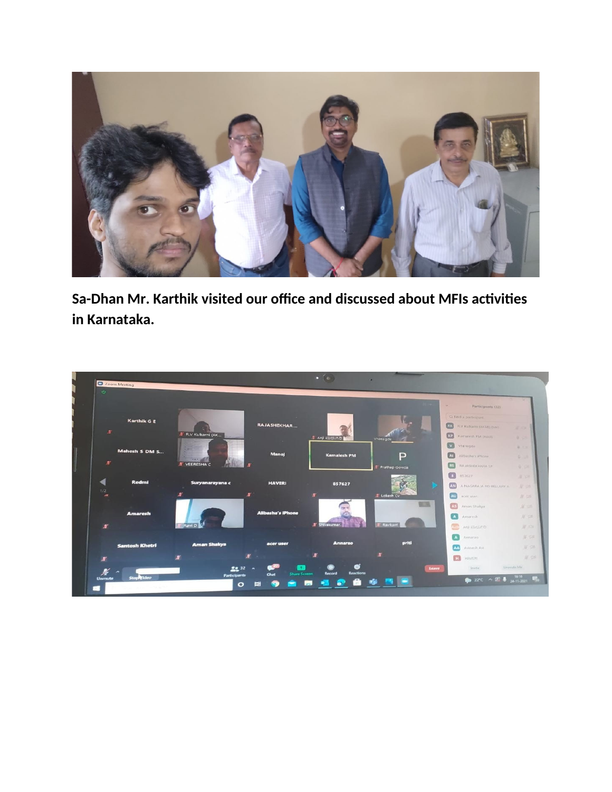

Sa-Dhan Mr. Karthik visited our office and discussed about MFIs activities in Karnataka.

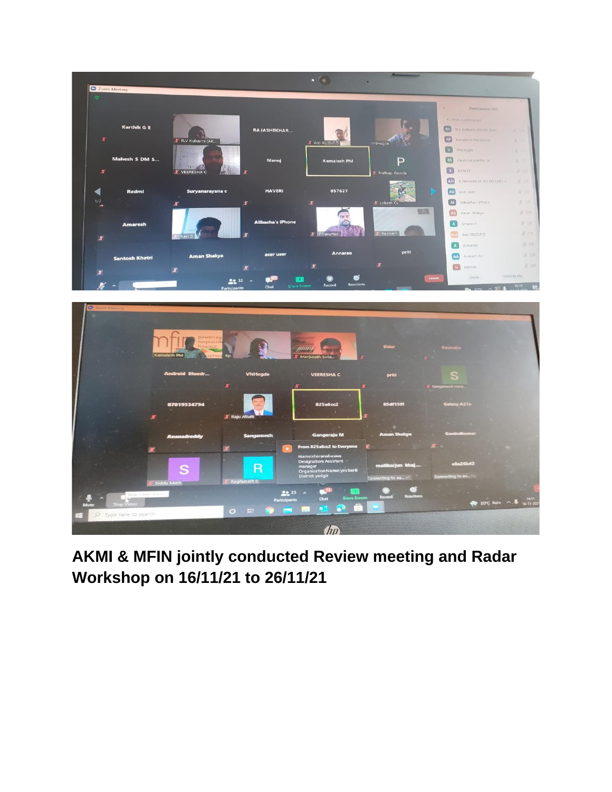



AKMI & MFIN jointly conducted Review meeting and Radar Workshop on 16/11/21 to 26/11/21